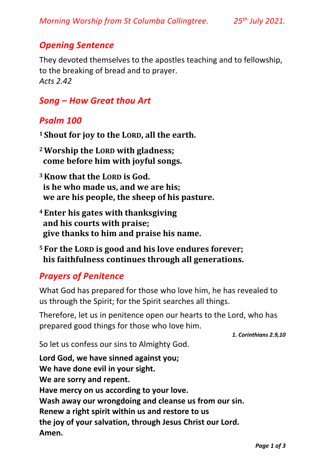## *Opening Sentence*

They devoted themselves to the apostles teaching and to fellowship, to the breaking of bread and to prayer. *Acts 2.42*

## *Song – How Great thou Art*

### *Psalm 100*

- **<sup>1</sup> Shout for joy to the LORD, all the earth.**
- **<sup>2</sup>Worship the LORD with gladness; come before him with joyful songs.**
- **<sup>3</sup>Know that the LORD is God. is he who made us, and we are his; we are his people, the sheep of his pasture.**
- **<sup>4</sup> Enter his gates with thanksgiving and his courts with praise; give thanks to him and praise his name.**
- **<sup>5</sup> For the LORD is good and his love endures forever; his faithfulness continues through all generations.**

# *Prayers of Penitence*

What God has prepared for those who love him, he has revealed to us through the Spirit; for the Spirit searches all things.

Therefore, let us in penitence open our hearts to the Lord, who has prepared good things for those who love him.

*1. Corinthians 2.9,10* 

So let us confess our sins to Almighty God.

**Lord God, we have sinned against you; We have done evil in your sight. We are sorry and repent. Have mercy on us according to your love. Wash away our wrongdoing and cleanse us from our sin. Renew a right spirit within us and restore to us the joy of your salvation, through Jesus Christ our Lord. Amen.**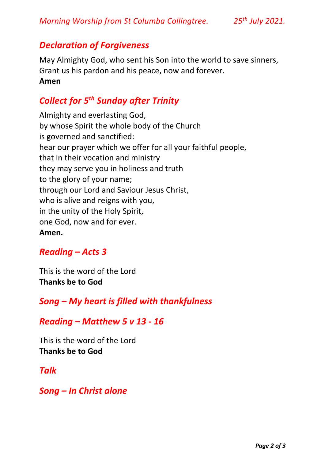### *Declaration of Forgiveness*

May Almighty God, who sent his Son into the world to save sinners, Grant us his pardon and his peace, now and forever. **Amen** 

# *Collect for 5th Sunday after Trinity*

Almighty and everlasting God, by whose Spirit the whole body of the Church is governed and sanctified: hear our prayer which we offer for all your faithful people, that in their vocation and ministry they may serve you in holiness and truth to the glory of your name; through our Lord and Saviour Jesus Christ, who is alive and reigns with you, in the unity of the Holy Spirit, one God, now and for ever. **Amen.**

### *Reading – Acts 3*

This is the word of the Lord **Thanks be to God**

### *Song – My heart is filled with thankfulness*

#### *Reading – Matthew 5 v 13 - 16*

This is the word of the Lord **Thanks be to God**

#### *Talk*

*Song – In Christ alone*